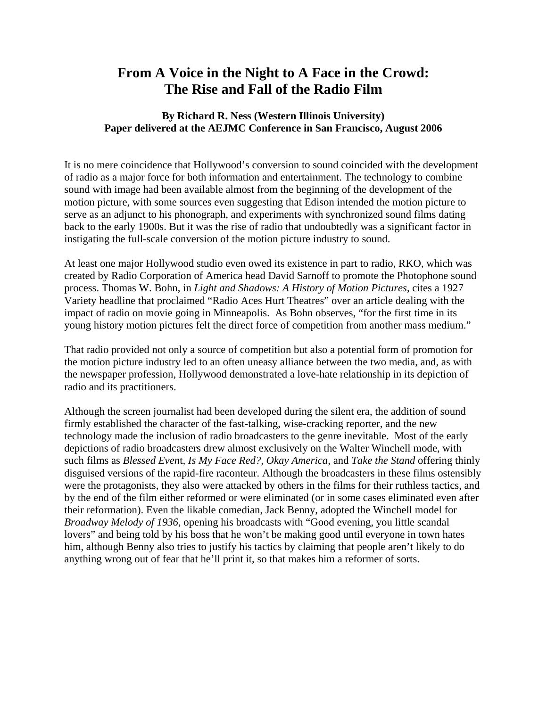## **From A Voice in the Night to A Face in the Crowd: The Rise and Fall of the Radio Film**

## **By Richard R. Ness (Western Illinois University) Paper delivered at the AEJMC Conference in San Francisco, August 2006**

It is no mere coincidence that Hollywood's conversion to sound coincided with the development of radio as a major force for both information and entertainment. The technology to combine sound with image had been available almost from the beginning of the development of the motion picture, with some sources even suggesting that Edison intended the motion picture to serve as an adjunct to his phonograph, and experiments with synchronized sound films dating back to the early 1900s. But it was the rise of radio that undoubtedly was a significant factor in instigating the full-scale conversion of the motion picture industry to sound.

At least one major Hollywood studio even owed its existence in part to radio, RKO, which was created by Radio Corporation of America head David Sarnoff to promote the Photophone sound process. Thomas W. Bohn, in *Light and Shadows: A History of Motion Pictures*, cites a 1927 Variety headline that proclaimed "Radio Aces Hurt Theatres" over an article dealing with the impact of radio on movie going in Minneapolis. As Bohn observes, "for the first time in its young history motion pictures felt the direct force of competition from another mass medium."

That radio provided not only a source of competition but also a potential form of promotion for the motion picture industry led to an often uneasy alliance between the two media, and, as with the newspaper profession, Hollywood demonstrated a love-hate relationship in its depiction of radio and its practitioners.

Although the screen journalist had been developed during the silent era, the addition of sound firmly established the character of the fast-talking, wise-cracking reporter, and the new technology made the inclusion of radio broadcasters to the genre inevitable. Most of the early depictions of radio broadcasters drew almost exclusively on the Walter Winchell mode, with such films as *Blessed Even*t*, Is My Face Red?, Okay America,* and *Take the Stand* offering thinly disguised versions of the rapid-fire raconteur. Although the broadcasters in these films ostensibly were the protagonists, they also were attacked by others in the films for their ruthless tactics, and by the end of the film either reformed or were eliminated (or in some cases eliminated even after their reformation). Even the likable comedian, Jack Benny, adopted the Winchell model for *Broadway Melody of 1936*, opening his broadcasts with "Good evening, you little scandal lovers" and being told by his boss that he won't be making good until everyone in town hates him, although Benny also tries to justify his tactics by claiming that people aren't likely to do anything wrong out of fear that he'll print it, so that makes him a reformer of sorts.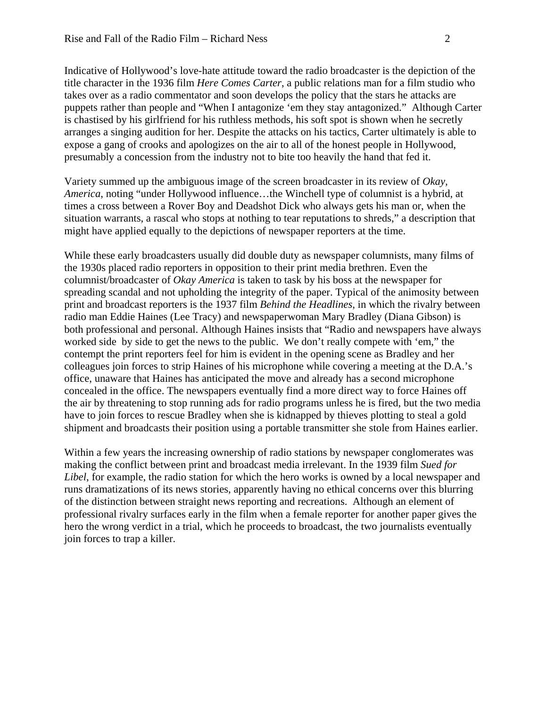Indicative of Hollywood's love-hate attitude toward the radio broadcaster is the depiction of the title character in the 1936 film *Here Comes Carter*, a public relations man for a film studio who takes over as a radio commentator and soon develops the policy that the stars he attacks are puppets rather than people and "When I antagonize 'em they stay antagonized." Although Carter is chastised by his girlfriend for his ruthless methods, his soft spot is shown when he secretly arranges a singing audition for her. Despite the attacks on his tactics, Carter ultimately is able to expose a gang of crooks and apologizes on the air to all of the honest people in Hollywood, presumably a concession from the industry not to bite too heavily the hand that fed it.

Variety summed up the ambiguous image of the screen broadcaster in its review of *Okay, America*, noting "under Hollywood influence…the Winchell type of columnist is a hybrid, at times a cross between a Rover Boy and Deadshot Dick who always gets his man or, when the situation warrants, a rascal who stops at nothing to tear reputations to shreds," a description that might have applied equally to the depictions of newspaper reporters at the time.

While these early broadcasters usually did double duty as newspaper columnists, many films of the 1930s placed radio reporters in opposition to their print media brethren. Even the columnist/broadcaster of *Okay America* is taken to task by his boss at the newspaper for spreading scandal and not upholding the integrity of the paper. Typical of the animosity between print and broadcast reporters is the 1937 film *Behind the Headlines*, in which the rivalry between radio man Eddie Haines (Lee Tracy) and newspaperwoman Mary Bradley (Diana Gibson) is both professional and personal. Although Haines insists that "Radio and newspapers have always worked side by side to get the news to the public. We don't really compete with 'em," the contempt the print reporters feel for him is evident in the opening scene as Bradley and her colleagues join forces to strip Haines of his microphone while covering a meeting at the D.A.'s office, unaware that Haines has anticipated the move and already has a second microphone concealed in the office. The newspapers eventually find a more direct way to force Haines off the air by threatening to stop running ads for radio programs unless he is fired, but the two media have to join forces to rescue Bradley when she is kidnapped by thieves plotting to steal a gold shipment and broadcasts their position using a portable transmitter she stole from Haines earlier.

Within a few years the increasing ownership of radio stations by newspaper conglomerates was making the conflict between print and broadcast media irrelevant. In the 1939 film *Sued for Libel*, for example, the radio station for which the hero works is owned by a local newspaper and runs dramatizations of its news stories, apparently having no ethical concerns over this blurring of the distinction between straight news reporting and recreations. Although an element of professional rivalry surfaces early in the film when a female reporter for another paper gives the hero the wrong verdict in a trial, which he proceeds to broadcast, the two journalists eventually join forces to trap a killer.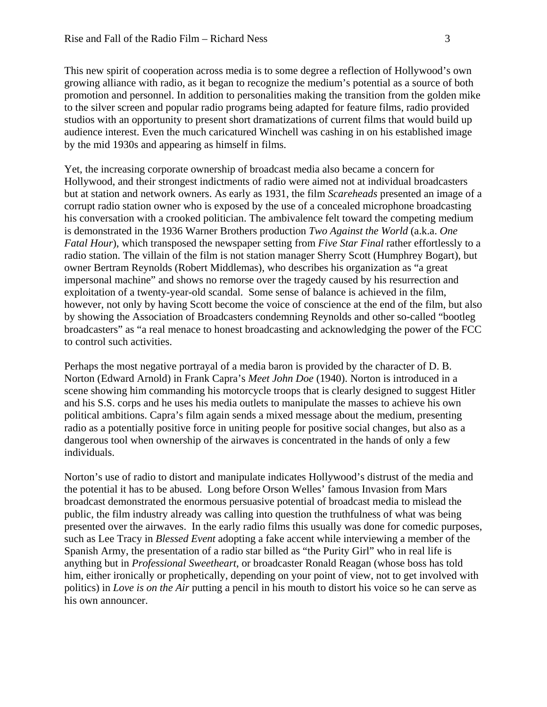This new spirit of cooperation across media is to some degree a reflection of Hollywood's own growing alliance with radio, as it began to recognize the medium's potential as a source of both promotion and personnel. In addition to personalities making the transition from the golden mike to the silver screen and popular radio programs being adapted for feature films, radio provided studios with an opportunity to present short dramatizations of current films that would build up audience interest. Even the much caricatured Winchell was cashing in on his established image by the mid 1930s and appearing as himself in films.

Yet, the increasing corporate ownership of broadcast media also became a concern for Hollywood, and their strongest indictments of radio were aimed not at individual broadcasters but at station and network owners. As early as 1931, the film *Scareheads* presented an image of a corrupt radio station owner who is exposed by the use of a concealed microphone broadcasting his conversation with a crooked politician. The ambivalence felt toward the competing medium is demonstrated in the 1936 Warner Brothers production *Two Against the World* (a.k.a. *One Fatal Hour*), which transposed the newspaper setting from *Five Star Final* rather effortlessly to a radio station. The villain of the film is not station manager Sherry Scott (Humphrey Bogart), but owner Bertram Reynolds (Robert Middlemas), who describes his organization as "a great impersonal machine" and shows no remorse over the tragedy caused by his resurrection and exploitation of a twenty-year-old scandal. Some sense of balance is achieved in the film, however, not only by having Scott become the voice of conscience at the end of the film, but also by showing the Association of Broadcasters condemning Reynolds and other so-called "bootleg broadcasters" as "a real menace to honest broadcasting and acknowledging the power of the FCC to control such activities.

Perhaps the most negative portrayal of a media baron is provided by the character of D. B. Norton (Edward Arnold) in Frank Capra's *Meet John Doe* (1940). Norton is introduced in a scene showing him commanding his motorcycle troops that is clearly designed to suggest Hitler and his S.S. corps and he uses his media outlets to manipulate the masses to achieve his own political ambitions. Capra's film again sends a mixed message about the medium, presenting radio as a potentially positive force in uniting people for positive social changes, but also as a dangerous tool when ownership of the airwaves is concentrated in the hands of only a few individuals.

Norton's use of radio to distort and manipulate indicates Hollywood's distrust of the media and the potential it has to be abused. Long before Orson Welles' famous Invasion from Mars broadcast demonstrated the enormous persuasive potential of broadcast media to mislead the public, the film industry already was calling into question the truthfulness of what was being presented over the airwaves. In the early radio films this usually was done for comedic purposes, such as Lee Tracy in *Blessed Event* adopting a fake accent while interviewing a member of the Spanish Army, the presentation of a radio star billed as "the Purity Girl" who in real life is anything but in *Professional Sweetheart*, or broadcaster Ronald Reagan (whose boss has told him, either ironically or prophetically, depending on your point of view, not to get involved with politics) in *Love is on the Air* putting a pencil in his mouth to distort his voice so he can serve as his own announcer.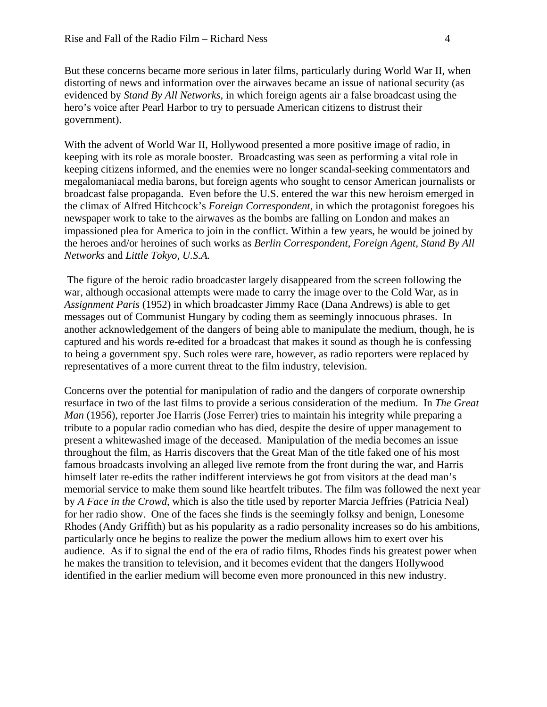But these concerns became more serious in later films, particularly during World War II, when distorting of news and information over the airwaves became an issue of national security (as evidenced by *Stand By All Networks*, in which foreign agents air a false broadcast using the hero's voice after Pearl Harbor to try to persuade American citizens to distrust their government).

With the advent of World War II, Hollywood presented a more positive image of radio, in keeping with its role as morale booster. Broadcasting was seen as performing a vital role in keeping citizens informed, and the enemies were no longer scandal-seeking commentators and megalomaniacal media barons, but foreign agents who sought to censor American journalists or broadcast false propaganda. Even before the U.S. entered the war this new heroism emerged in the climax of Alfred Hitchcock's *Foreign Correspondent*, in which the protagonist foregoes his newspaper work to take to the airwaves as the bombs are falling on London and makes an impassioned plea for America to join in the conflict. Within a few years, he would be joined by the heroes and/or heroines of such works as *Berlin Correspondent, Foreign Agent, Stand By All Networks* and *Little Tokyo, U.S.A.*

 The figure of the heroic radio broadcaster largely disappeared from the screen following the war, although occasional attempts were made to carry the image over to the Cold War, as in *Assignment Paris* (1952) in which broadcaster Jimmy Race (Dana Andrews) is able to get messages out of Communist Hungary by coding them as seemingly innocuous phrases. In another acknowledgement of the dangers of being able to manipulate the medium, though, he is captured and his words re-edited for a broadcast that makes it sound as though he is confessing to being a government spy. Such roles were rare, however, as radio reporters were replaced by representatives of a more current threat to the film industry, television.

Concerns over the potential for manipulation of radio and the dangers of corporate ownership resurface in two of the last films to provide a serious consideration of the medium. In *The Great Man* (1956), reporter Joe Harris (Jose Ferrer) tries to maintain his integrity while preparing a tribute to a popular radio comedian who has died, despite the desire of upper management to present a whitewashed image of the deceased. Manipulation of the media becomes an issue throughout the film, as Harris discovers that the Great Man of the title faked one of his most famous broadcasts involving an alleged live remote from the front during the war, and Harris himself later re-edits the rather indifferent interviews he got from visitors at the dead man's memorial service to make them sound like heartfelt tributes. The film was followed the next year by *A Face in the Crowd*, which is also the title used by reporter Marcia Jeffries (Patricia Neal) for her radio show. One of the faces she finds is the seemingly folksy and benign, Lonesome Rhodes (Andy Griffith) but as his popularity as a radio personality increases so do his ambitions, particularly once he begins to realize the power the medium allows him to exert over his audience. As if to signal the end of the era of radio films, Rhodes finds his greatest power when he makes the transition to television, and it becomes evident that the dangers Hollywood identified in the earlier medium will become even more pronounced in this new industry.